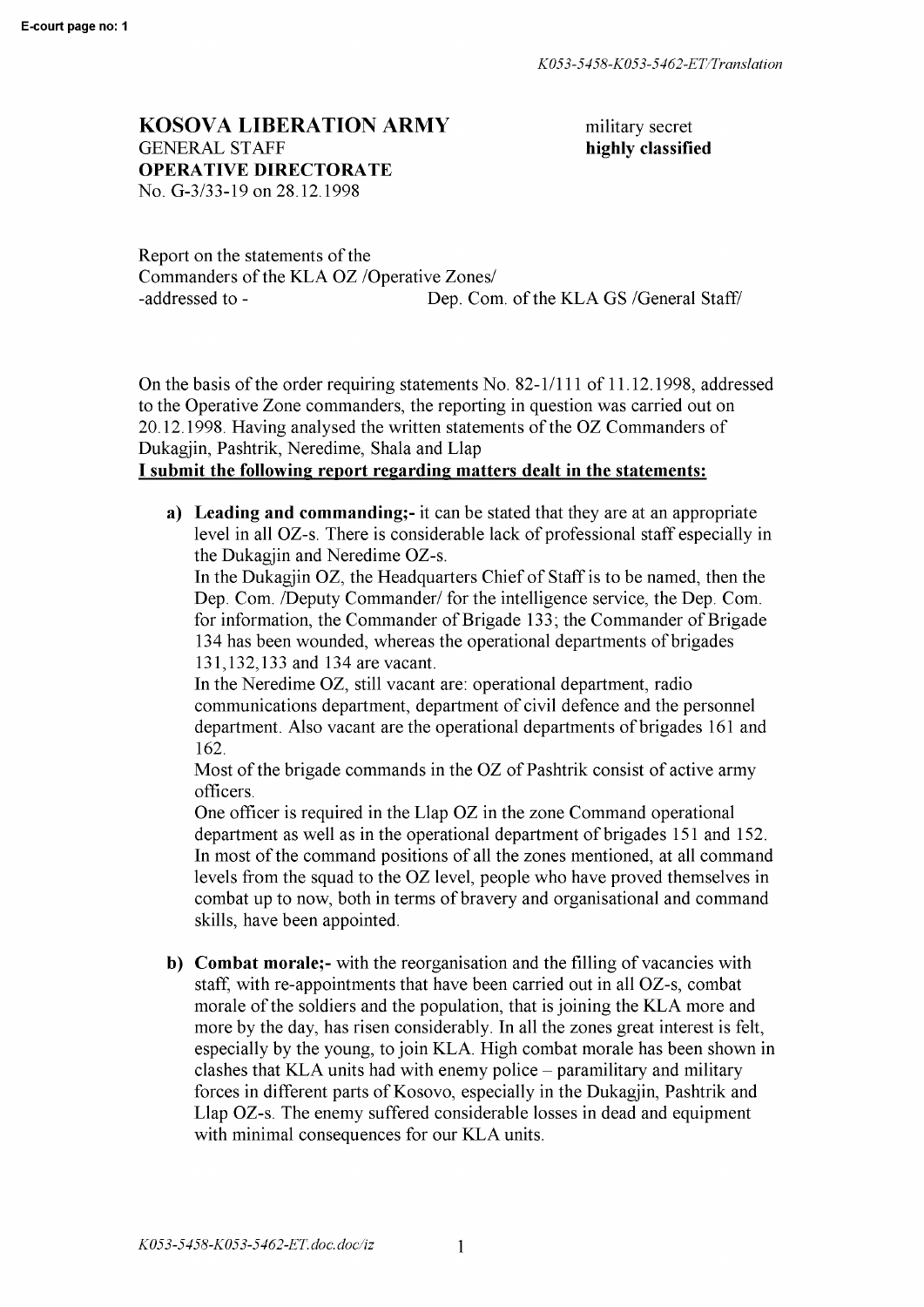## **KOSOVA LIBERATION ARMY** GENERAL STAFF **OPERATIVE DIRECTORATE**

No. G-3/33-19 on 28.12.1998

military secret **highly classified** 

Report on the statements of the Commanders of the KLA OZ /Operative Zones/ -addressed to - Dep. Com. of the KLA GS /General Staff/

On the basis of the order requiring statements No. 82-1/111 of 11.12.1998, addressed to the Operative Zone commanders, the reporting in question was carried out on 20.12.1998. Having analysed the written statements of the OZ Commanders of Dukagjin, Pashtrik, Neredime, Shala and Llap

## **I submit the following report regarding matters dealt in the statements:**

**a) Leading and commanding;-** it can be stated that they are at an appropriate level in all OZ-s. There is considerable lack of professional staff especially in the Dukagjin and Neredime OZ-s.

In the Dukagjin OZ, the Headquarters Chief of Staff is to be named, then the Dep. Com. /Deputy Commander/ for the intelligence service, the Dep. Com. for information, the Commander of Brigade 133; the Commander of Brigade 134 has been wounded, whereas the operational departments of brigades 131,132,133 and 134 are vacant.

In the Neredime OZ, still vacant are: operational department, radio communications department, department of civil defence and the personnel department. Also vacant are the operational departments of brigades 161 and 162.

Most of the brigade commands in the OZ of Pashtrik consist of active army officers.

One officer is required in the Llap OZ in the zone Command operational department as well as in the operational department of brigades 151 and 152. In most of the command positions of all the zones mentioned, at all command levels from the squad to the OZ level, people who have proved themselves in combat up to now, both in terms of bravery and organisational and command skills, have been appointed.

**b) Combat morale;-** with the reorganisation and the filling of vacancies with staff, with re-appointments that have been carried out in all OZ-s, combat morale of the soldiers and the population, that is joining the KLA more and more by the day, has risen considerably. In all the zones great interest is felt, especially by the young, to join KLA. High combat morale has been shown in clashes that KLA units had with enemy police – paramilitary and military forces in different parts of Kosovo, especially in the Dukagjin, Pashtrik and Llap OZ-s. The enemy suffered considerable losses in dead and equipment with minimal consequences for our KLA units.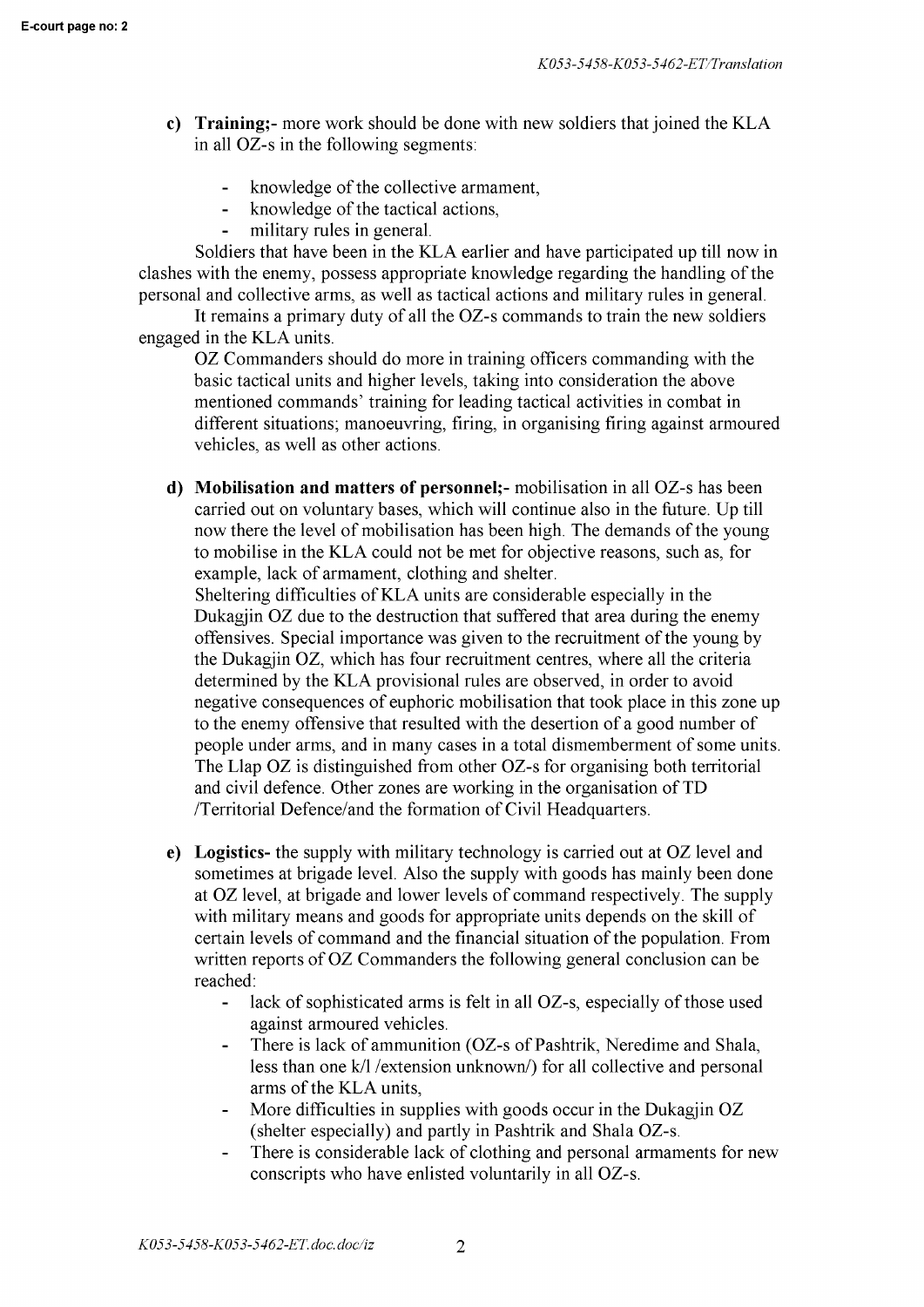- **c) Training;-** more work should be done with new soldiers that joined the KLA in all OZ-s in the following segments:
	- $\mathbf{L}^{\text{max}}$ knowledge of the collective armament,
	- knowledge of the tactical actions,
	- military rules in general.  $\mathbf{r}$

Soldiers that have been in the KLA earlier and have participated up till now in clashes with the enemy, possess appropriate knowledge regarding the handling of the personal and collective arms, as well as tactical actions and military rules in general.

It remains a primary duty of all the OZ-s commands to train the new soldiers engaged in the KLA units.

OZ Commanders should do more in training officers commanding with the basic tactical units and higher levels, taking into consideration the above mentioned commands' training for leading tactical activities in combat in different situations; manoeuvring, firing, in organising firing against armoured vehicles, as well as other actions.

**d) Mobilisation and matters of personnel;-** mobilisation in all OZ-s has been carried out on voluntary bases, which will continue also in the future. Up till now there the level of mobilisation has been high. The demands of the young to mobilise in the KLA could not be met for objective reasons, such as, for example, lack of armament, clothing and shelter.

Sheltering difficulties ofKLA units are considerable especially in the Dukagjin OZ due to the destruction that suffered that area during the enemy offensives. Special importance was given to the recruitment of the young by the Dukagjin OZ, which has four recruitment centres, where all the criteria determined by the KLA provisional rules are observed, in order to avoid negative consequences of euphoric mobilisation that took place in this zone up to the enemy offensive that resulted with the desertion of a good number of people under arms, and in many cases in a total dismemberment of some units. The Llap OZ is distinguished from other OZ-s for organising both territorial and civil defence. Other zones are working in the organisation of TD /Territorial Defence/and the formation of Civil Headquarters.

- **e) Logistics-** the supply with military technology is carried out at OZ level and sometimes at brigade level. Also the supply with goods has mainly been done at OZ level, at brigade and lower levels of command respectively. The supply with military means and goods for appropriate units depends on the skill of certain levels of command and the financial situation of the population. From written reports of OZ Commanders the following general conclusion can be reached:
	- lack of sophisticated arms is felt in all OZ-s, especially of those used  $\blacksquare$ against armoured vehicles.
	- There is lack of ammunition (OZ-s of Pashtrik, Neredime and Shala, less than one k/1 /extension unknown/) for all collective and personal arms of the KLA units,
	- More difficulties in supplies with goods occur in the Dukagjin OZ (shelter especially) and partly in Pashtrik and Shala OZ-s.
	- There is considerable lack of clothing and personal armaments for new  $\frac{1}{2}$ conscripts who have enlisted voluntarily in all OZ-s.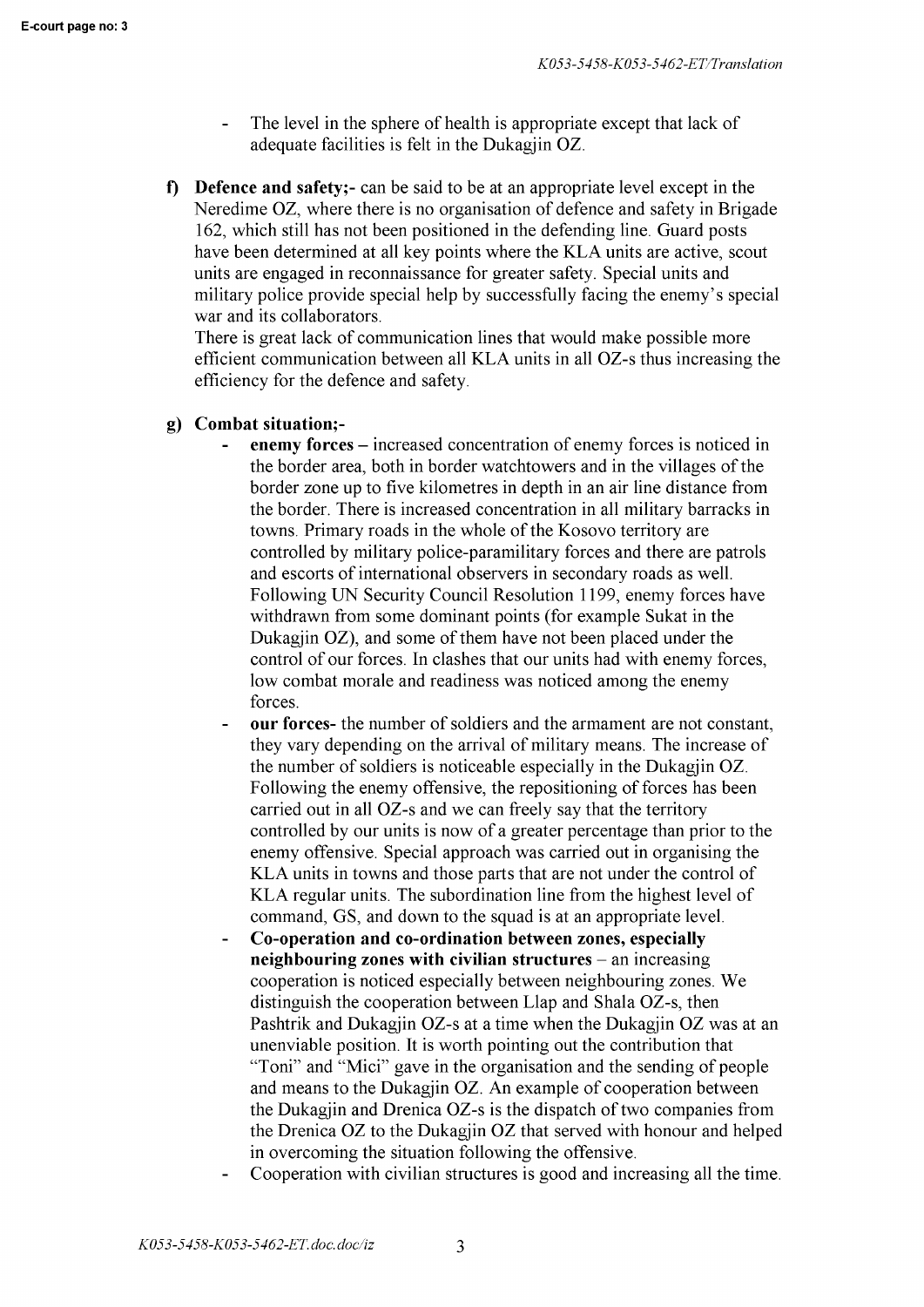- The level in the sphere of health is appropriate except that lack of adequate facilities is felt in the Dukagjin OZ.
- **f) Defence and safety;-** can be said to be at an appropriate level except in the Neredime OZ, where there is no organisation of defence and safety in Brigade 162, which still has not been positioned in the defending line. Guard posts have been determined at all key points where the KLA units are active, scout units are engaged in reconnaissance for greater safety. Special units and military police provide special help by successfully facing the enemy's special war and its collaborators.

There is great lack of communication lines that would make possible more efficient communication between all KLA units in all OZ-s thus increasing the efficiency for the defence and safety.

## **g) Combat situation;-**

- **enemy forces**  increased concentration of enemy forces is noticed in the border area, both in border watchtowers and in the villages of the border zone up to five kilometres in depth in an air line distance from the border. There is increased concentration in all military barracks in towns. Primary roads in the whole of the Kosovo territory are controlled by military police-paramilitary forces and there are patrols and escorts of international observers in secondary roads as well. Following UN Security Council Resolution 1199, enemy forces have withdrawn from some dominant points (for example Sukat in the Dukagjin **OZ),** and some of them have not been placed under the control of our forces. In clashes that our units had with enemy forces, low combat morale and readiness was noticed among the enemy forces.
- **our forces-** the number of soldiers and the armament are not constant, they vary depending on the arrival of military means. The increase of the number of soldiers is noticeable especially in the Dukagjin OZ. Following the enemy offensive, the repositioning of forces has been carried out in all OZ-s and we can freely say that the territory controlled by our units is now of a greater percentage than prior to the enemy offensive. Special approach was carried out in organising the KLA units in towns and those parts that are not under the control of KLA regular units. The subordination line from the highest level of command, GS, and down to the squad is at an appropriate level.
- **Co-operation and co-ordination between zones, especially neighbouring zones with civilian structures** – an increasing cooperation is noticed especially between neighbouring zones. We distinguish the cooperation between Llap and Shala OZ-s, then Pashtrik and Dukagjin OZ-s at a time when the Dukagjin OZ was at an unenviable position. It is worth pointing out the contribution that "Toni" and "Mici" gave in the organisation and the sending of people and means to the Dukagjin OZ. An example of cooperation between the Dukagjin and Drenica OZ-s is the dispatch of two companies from the Drenica OZ to the Dukagjin OZ that served with honour and helped in overcoming the situation following the offensive.
- Cooperation with civilian structures is good and increasing all the time.